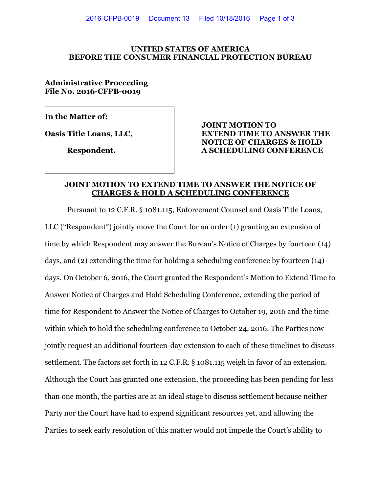#### **UNITED STATES OF AMERICA BEFORE THE CONSUMER FINANCIAL PROTECTION BUREAU**

### **Administrative Proceeding File No. 2016-CFPB-0019**

**In the Matter of:** 

## **JOINT MOTION TO Oasis Title Loans, LLC, EXTEND TIME TO ANSWER THE NOTICE OF CHARGES & HOLD Respondent. A SCHEDULING CONFERENCE**

#### **JOINT MOTION TO EXTEND TIME TO ANSWER THE NOTICE OF CHARGES & HOLD A SCHEDULING CONFERENCE**

Pursuant to 12 C.F.R. § 1081.115, Enforcement Counsel and Oasis Title Loans, LLC ("Respondent") jointly move the Court for an order (1) granting an extension of time by which Respondent may answer the Bureau's Notice of Charges by fourteen (14) days, and (2) extending the time for holding a scheduling conference by fourteen (14) days. On October 6, 2016, the Court granted the Respondent's Motion to Extend Time to Answer Notice of Charges and Hold Scheduling Conference, extending the period of time for Respondent to Answer the Notice of Charges to October 19, 2016 and the time within which to hold the scheduling conference to October 24, 2016. The Parties now jointly request an additional fourteen-day extension to each of these timelines to discuss settlement. The factors set forth in 12 C.F.R. § 1081.115 weigh in favor of an extension. Although the Court has granted one extension, the proceeding has been pending for less than one month, the parties are at an ideal stage to discuss settlement because neither Party nor the Court have had to expend significant resources yet, and allowing the Parties to seek early resolution of this matter would not impede the Court's ability to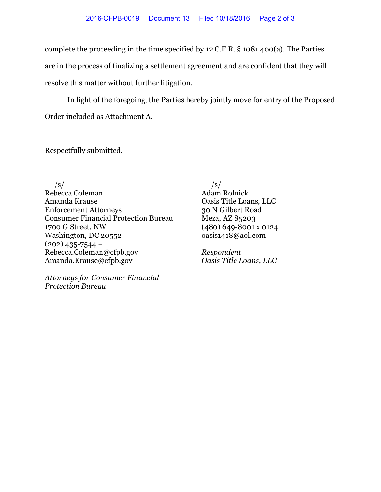complete the proceeding in the time specified by 12 C.F.R. § 1081.400(a). The Parties are in the process of finalizing a settlement agreement and are confident that they will resolve this matter without further litigation.

In light of the foregoing, the Parties hereby jointly move for entry of the Proposed Order included as Attachment A.

Respectfully submitted,

 $/s/$ 

Rebecca Coleman Amanda Krause Enforcement Attorneys Consumer Financial Protection Bureau 1700 G Street, NW Washington, DC 20552  $(202)$  435-7544 – Rebecca.Coleman@cfpb.gov Amanda.Krause@cfpb.gov

*Attorneys for Consumer Financial Protection Bureau* 

 $/s/$ 

Adam Rolnick Oasis Title Loans, LLC 30 N Gilbert Road Meza, AZ 85203 (480) 649-8001 x 0124 oasis1418@aol.com

*Respondent Oasis Title Loans, LLC*